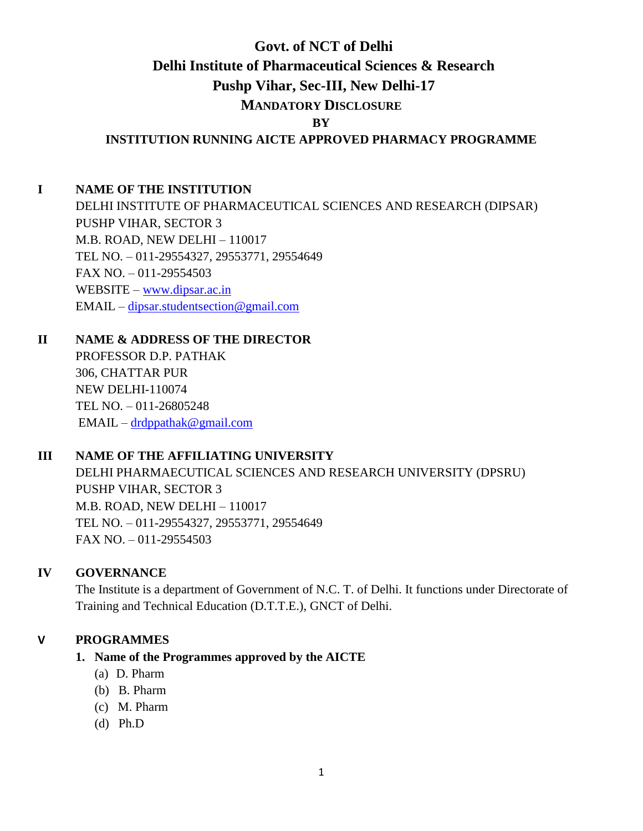# **Govt. of NCT of Delhi Delhi Institute of Pharmaceutical Sciences & Research Pushp Vihar, Sec-III, New Delhi-17 MANDATORY DISCLOSURE BY INSTITUTION RUNNING AICTE APPROVED PHARMACY PROGRAMME**

## **I NAME OF THE INSTITUTION**

DELHI INSTITUTE OF PHARMACEUTICAL SCIENCES AND RESEARCH (DIPSAR) PUSHP VIHAR, SECTOR 3 M.B. ROAD, NEW DELHI – 110017 TEL NO. – 011-29554327, 29553771, 29554649 FAX NO. – 011-29554503 WEBSITE – [www.dipsar.ac.in](http://www.dipsar.ac.in/) EMAIL – [dipsar.studentsection@gmail.com](mailto:dipsar.studentsection@gmail.com)

## **II NAME & ADDRESS OF THE DIRECTOR**

PROFESSOR D.P. PATHAK 306, CHATTAR PUR NEW DELHI-110074 TEL NO. – 011-26805248 EMAIL – [drdppathak@gmail.com](mailto:drdppathak@gmail.com)

## **III NAME OF THE AFFILIATING UNIVERSITY**

DELHI PHARMAECUTICAL SCIENCES AND RESEARCH UNIVERSITY (DPSRU) PUSHP VIHAR, SECTOR 3 M.B. ROAD, NEW DELHI – 110017 TEL NO. – 011-29554327, 29553771, 29554649 FAX NO. – 011-29554503

## **IV GOVERNANCE**

The Institute is a department of Government of N.C. T. of Delhi. It functions under Directorate of Training and Technical Education (D.T.T.E.), GNCT of Delhi.

## **V PROGRAMMES**

## **1. Name of the Programmes approved by the AICTE**

- (a) D. Pharm
- (b) B. Pharm
- (c) M. Pharm
- (d) Ph.D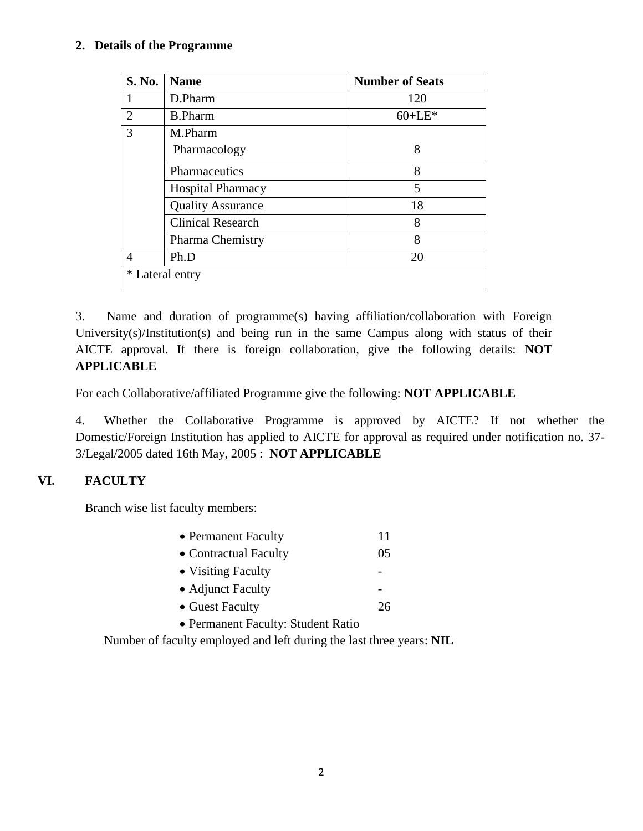## **2. Details of the Programme**

| <b>S. No.</b>   | <b>Name</b>              | <b>Number of Seats</b> |  |
|-----------------|--------------------------|------------------------|--|
|                 | D.Pharm                  | 120                    |  |
| 2               | <b>B.Pharm</b>           | $60 + LE*$             |  |
| 3               | M.Pharm                  |                        |  |
|                 | Pharmacology             | 8                      |  |
|                 | Pharmaceutics            | 8                      |  |
|                 | <b>Hospital Pharmacy</b> | 5                      |  |
|                 | <b>Quality Assurance</b> | 18                     |  |
|                 | <b>Clinical Research</b> | 8                      |  |
|                 | <b>Pharma Chemistry</b>  | 8                      |  |
| $\overline{A}$  | Ph.D                     | 20                     |  |
| * Lateral entry |                          |                        |  |

3. Name and duration of programme(s) having affiliation/collaboration with Foreign University(s)/Institution(s) and being run in the same Campus along with status of their AICTE approval. If there is foreign collaboration, give the following details: **NOT APPLICABLE**

For each Collaborative/affiliated Programme give the following: **NOT APPLICABLE**

4. Whether the Collaborative Programme is approved by AICTE? If not whether the Domestic/Foreign Institution has applied to AICTE for approval as required under notification no. 37- 3/Legal/2005 dated 16th May, 2005 : **NOT APPLICABLE**

## **VI. FACULTY**

Branch wise list faculty members:

| • Permanent Faculty                | 11 |
|------------------------------------|----|
| • Contractual Faculty              | 05 |
| • Visiting Faculty                 |    |
| • Adjunct Faculty                  |    |
| • Guest Faculty                    | 26 |
| • Permanent Faculty: Student Ratio |    |

Number of faculty employed and left during the last three years: **NIL**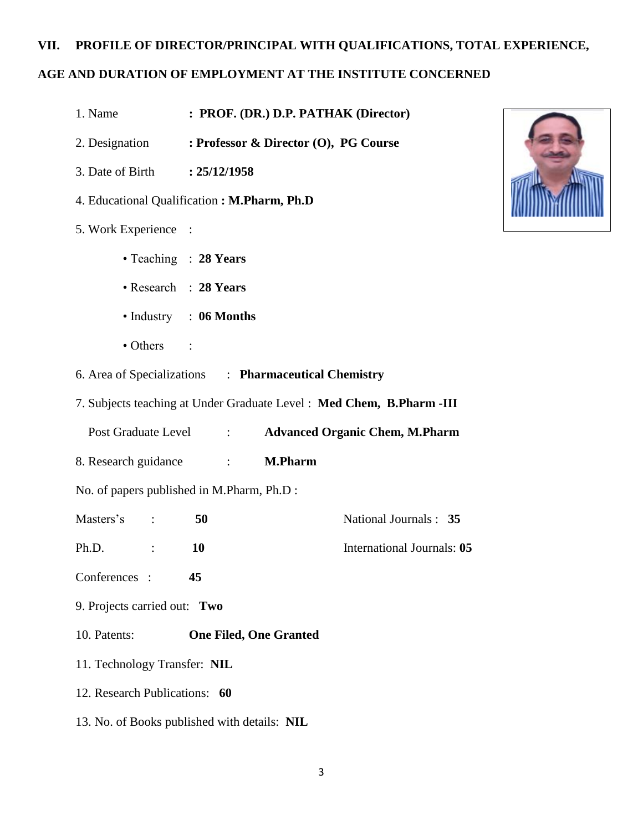## **VII. PROFILE OF DIRECTOR/PRINCIPAL WITH QUALIFICATIONS, TOTAL EXPERIENCE,**

## **AGE AND DURATION OF EMPLOYMENT AT THE INSTITUTE CONCERNED**

- 1. Name **: PROF. (DR.) D.P. PATHAK (Director)**
- 2. Designation **: Professor & Director (O), PG Course**
- 3. Date of Birth **: 25/12/1958**
- 4. Educational Qualification **: M.Pharm, Ph.D**
- 5. Work Experience :
	- Teaching : **28 Years**
	- Research : **28 Years**
	- Industry : **06 Months**
	- Others :
- 6. Area of Specializations : **Pharmaceutical Chemistry**
- 7. Subjects teaching at Under Graduate Level : **Med Chem, B.Pharm -III**
	- Post Graduate Level : **Advanced Organic Chem, M.Pharm**
- 8. Research guidance : **M.Pharm**
- No. of papers published in M.Pharm, Ph.D :
- Masters's : **50** National Journals : **35**
- Ph.D. : **10** International Journals: **05**
- Conferences : **45**
- 9. Projects carried out: **Two**
- 10. Patents: **One Filed, One Granted**
- 11. Technology Transfer: **NIL**
- 12. Research Publications: **60**
- 13. No. of Books published with details: **NIL**

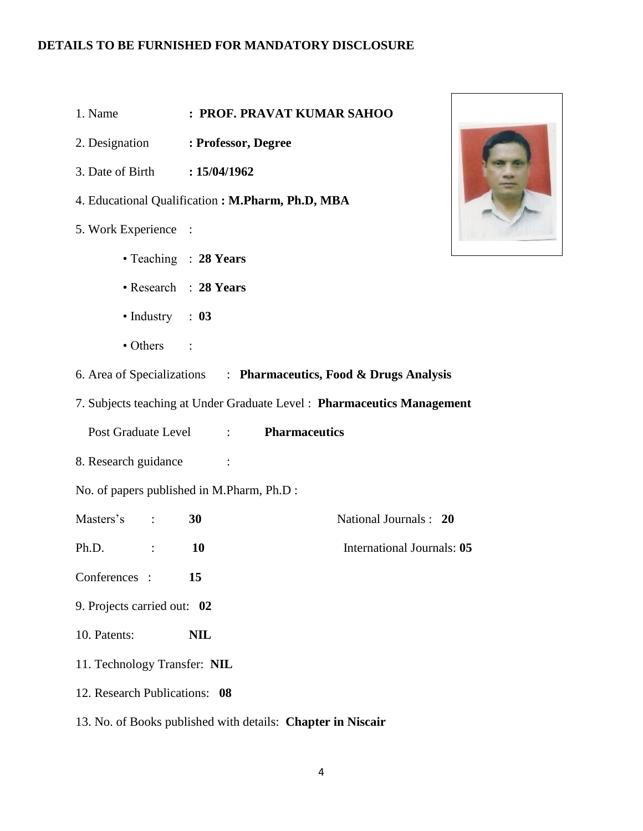- 1. Name **: PROF. PRAVAT KUMAR SAHOO**
- 2. Designation **: Professor, Degree**
- 3. Date of Birth **: 15/04/1962**
- 4. Educational Qualification **: M.Pharm, Ph.D, MBA**
- 5. Work Experience :
	- Teaching : **28 Years**
	- Research : **28 Years**
	- Industry : **03**
	- Others :
- 6. Area of Specializations : **Pharmaceutics, Food & Drugs Analysis**
- 7. Subjects teaching at Under Graduate Level : **Pharmaceutics Management** 
	- Post Graduate Level : **Pharmaceutics**
- 8. Research guidance :
- No. of papers published in M.Pharm, Ph.D :
- Masters's : **30** National Journals : **20**
- Ph.D. : **10** International Journals: **05**
- Conferences : **15**
- 9. Projects carried out: **02**
- 10. Patents: **NIL**
- 11. Technology Transfer: **NIL**
- 12. Research Publications: **08**
- 13. No. of Books published with details: **Chapter in Niscair**

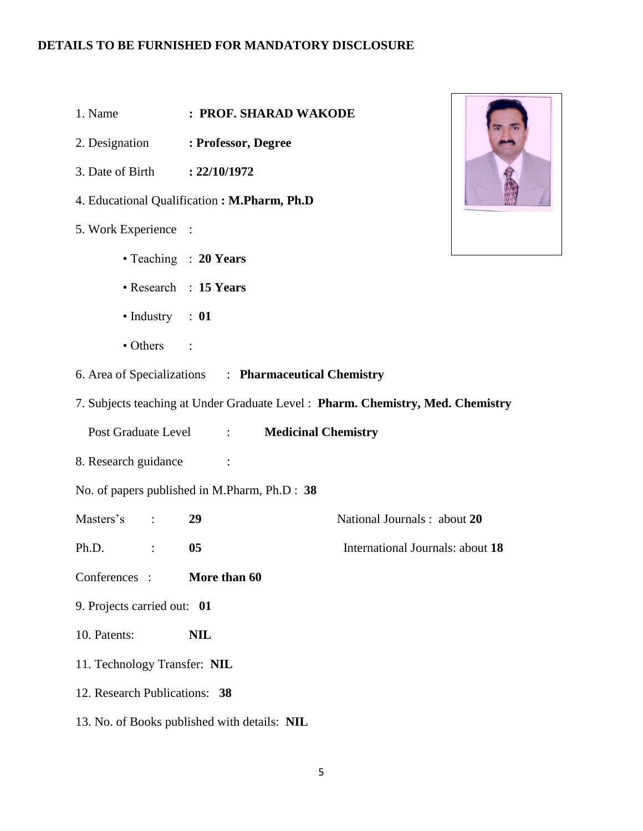- 1. Name **: PROF. SHARAD WAKODE**
- 2. Designation **: Professor, Degree**
- 3. Date of Birth **: 22/10/1972**
- 4. Educational Qualification **: M.Pharm, Ph.D**
- 5. Work Experience :
	- Teaching : **20 Years**
	- Research : **15 Years**
	- Industry : **01**
	- Others :
- 6. Area of Specializations : **Pharmaceutical Chemistry**
- 7. Subjects teaching at Under Graduate Level : **Pharm. Chemistry, Med. Chemistry** 
	- Post Graduate Level : **Medicinal Chemistry**
- 8. Research guidance :
- No. of papers published in M.Pharm, Ph.D : **38**
- Masters's : **29** National Journals : about **20**
- Ph.D. : **05** International Journals: about **18**
- Conferences : **More than 60**
- 9. Projects carried out: **01**
- 10. Patents: **NIL**
- 11. Technology Transfer: **NIL**
- 12. Research Publications: **38**
- 13. No. of Books published with details: **NIL**

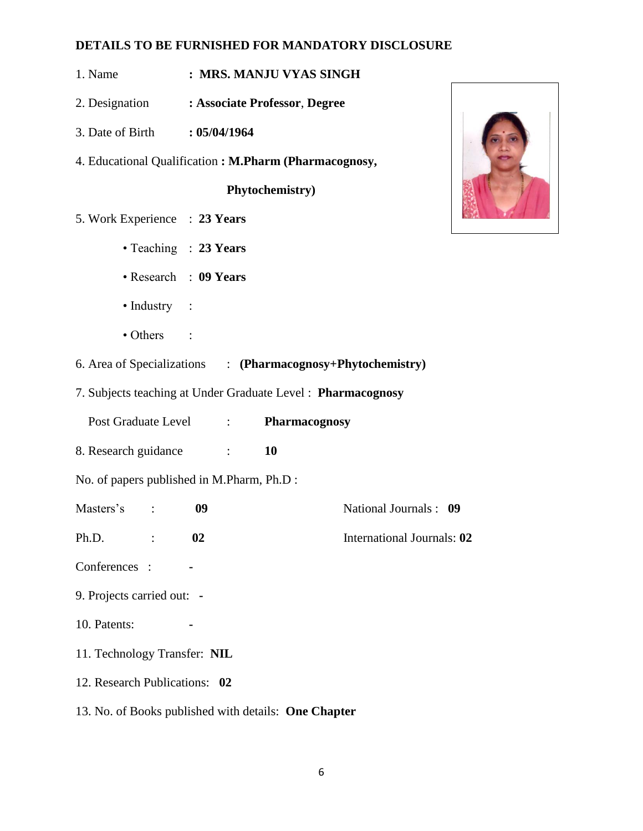- 1. Name **: MRS. MANJU VYAS SINGH**
- 2. Designation **: Associate Professor**, **Degree**
- 3. Date of Birth **: 05/04/1964**
- 4. Educational Qualification **: M.Pharm (Pharmacognosy,**

**Phytochemistry)**

- 5. Work Experience : **23 Years**
	- Teaching : **23 Years**
	- Research : **09 Years**
	- Industry :
	- Others :
- 6. Area of Specializations : **(Pharmacognosy+Phytochemistry)**
- 7. Subjects teaching at Under Graduate Level : **Pharmacognosy**
	- Post Graduate Level : **Pharmacognosy**
- 8. Research guidance : **10**
- No. of papers published in M.Pharm, Ph.D :
- Masters's : **09** National Journals : **09**
- Ph.D. : **02** International Journals: **02**
- Conferences : **-**
- 9. Projects carried out: **-**
- 10. Patents:
- 11. Technology Transfer: **NIL**
- 12. Research Publications: **02**
- 13. No. of Books published with details: **One Chapter**

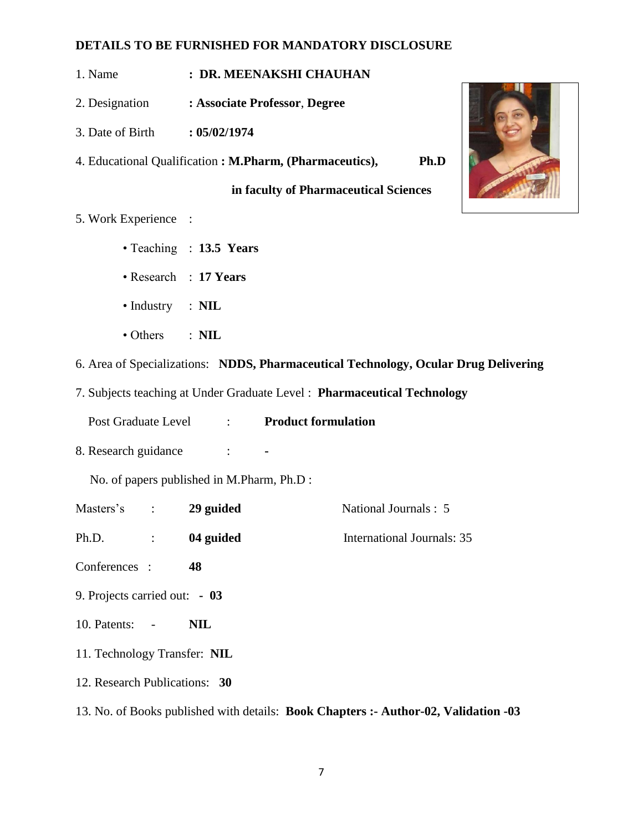- 1. Name **: DR. MEENAKSHI CHAUHAN**
- 2. Designation **: Associate Professor**, **Degree**
- 3. Date of Birth **: 05/02/1974**
- 4. Educational Qualification **: M.Pharm, (Pharmaceutics), Ph.D**

**in faculty of Pharmaceutical Sciences**

- 5. Work Experience :
	- Teaching : **13.5 Years**
	- Research : **17 Years**
	- Industry : **NIL**
	- Others : **NIL**
- 6. Area of Specializations: **NDDS, Pharmaceutical Technology, Ocular Drug Delivering**
- 7. Subjects teaching at Under Graduate Level : **Pharmaceutical Technology** 
	- Post Graduate Level : **Product formulation**
- 8. Research guidance :

- Masters's : **29 guided** National Journals : 5 Ph.D. : **04 guided** International Journals: 35 Conferences : **48**
- 9. Projects carried out:  **03**
- 10. Patents: - **NIL**
- 11. Technology Transfer: **NIL**
- 12. Research Publications: **30**
- 13. No. of Books published with details: **Book Chapters :- Author-02, Validation -03**

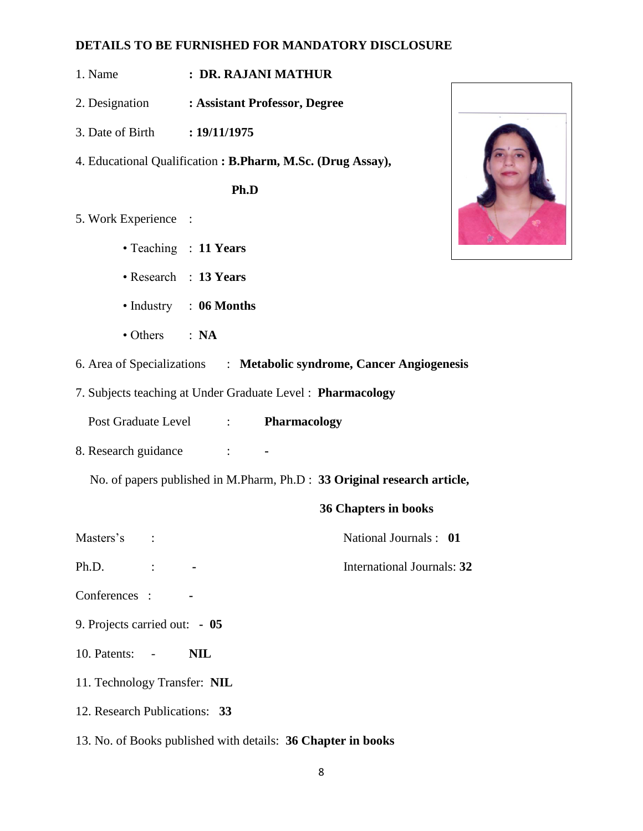- 1. Name **: DR. RAJANI MATHUR**
- 2. Designation **: Assistant Professor, Degree**
- 3. Date of Birth **: 19/11/1975**
- 4. Educational Qualification **: B.Pharm, M.Sc. (Drug Assay),**

**Ph.D** 

- 5. Work Experience :
	- Teaching : **11 Years**
	- Research : **13 Years**
	- Industry : **06 Months**
	- Others : **NA**
- 6. Area of Specializations : **Metabolic syndrome, Cancer Angiogenesis**
- 7. Subjects teaching at Under Graduate Level : **Pharmacology**
	- Post Graduate Level : **Pharmacology**
- 8. Research guidance : **-**

No. of papers published in M.Pharm, Ph.D : **33 Original research article,** 

#### **36 Chapters in books**

Masters's : National Journals : 01

Ph.D.  $\qquad \qquad : \qquad \qquad$  **-** International Journals: **32** 

- Conferences : **-**
- 9. Projects carried out:  **05**
- 10. Patents: - **NIL**
- 11. Technology Transfer: **NIL**
- 12. Research Publications: **33**
- 13. No. of Books published with details: **36 Chapter in books**

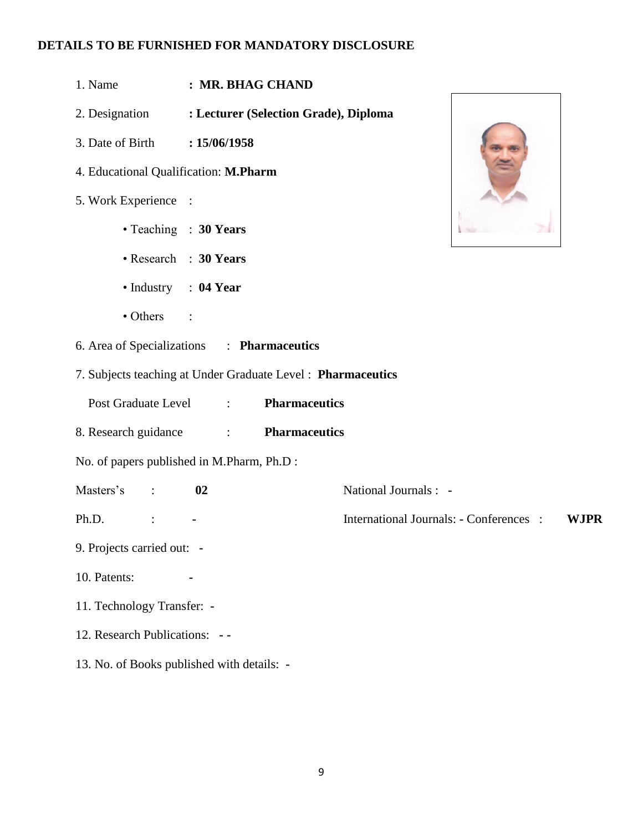- 1. Name **: MR. BHAG CHAND**
- 2. Designation **: Lecturer (Selection Grade), Diploma**
- 3. Date of Birth **: 15/06/1958**
- 4. Educational Qualification: **M.Pharm**
- 5. Work Experience :
	- Teaching : **30 Years**
	- Research : **30 Years**
	- Industry : **04 Year**
	- Others :
- 6. Area of Specializations : **Pharmaceutics**
- 7. Subjects teaching at Under Graduate Level : **Pharmaceutics**
	- Post Graduate Level : **Pharmaceutics**
- 8. Research guidance : **Pharmaceutics**
- No. of papers published in M.Pharm, Ph.D :
- Masters's : **02** National Journals : **-**
- Ph.D. : **-** International Journals: **-** Conferences : **WJPR**
- 9. Projects carried out: **-**
- 10. Patents:
- 11. Technology Transfer: **-**
- 12. Research Publications: **- -**
- 13. No. of Books published with details: **-**

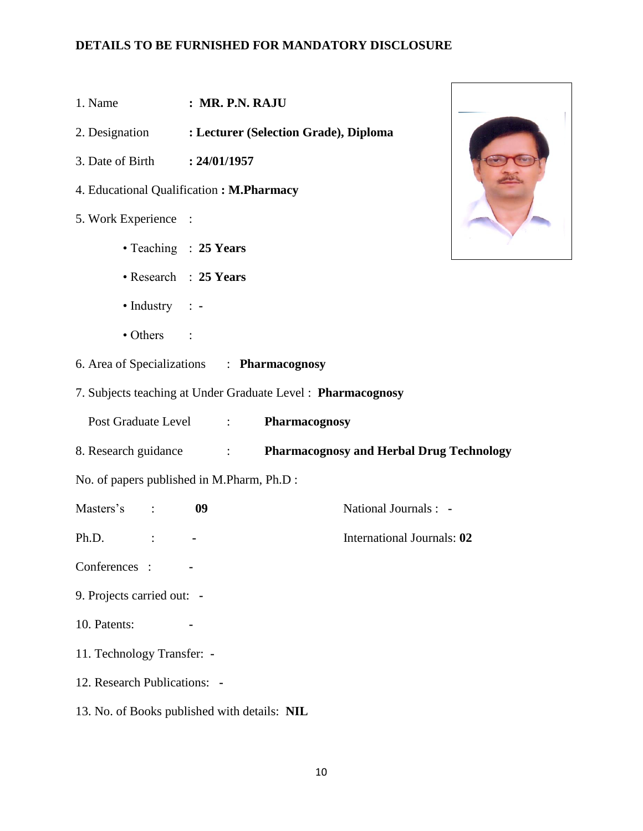- 1. Name **: MR. P.N. RAJU**
- 2. Designation **: Lecturer (Selection Grade), Diploma**
- 3. Date of Birth **: 24/01/1957**
- 4. Educational Qualification **: M.Pharmacy**
- 5. Work Experience :
	- Teaching : **25 Years**
	- Research : **25 Years**
	- Industry : **-**
	- Others :
- 6. Area of Specializations : **Pharmacognosy**
- 7. Subjects teaching at Under Graduate Level : **Pharmacognosy**
	- Post Graduate Level : **Pharmacognosy**
- 8. Research guidance : **Pharmacognosy and Herbal Drug Technology**
- No. of papers published in M.Pharm, Ph.D :
- Masters's : **09** National Journals : **-**
- Ph.D. : **-** International Journals: **02**
- Conferences : **-**
- 9. Projects carried out: **-**
- 10. Patents:
- 11. Technology Transfer: **-**
- 12. Research Publications: **-**
- 13. No. of Books published with details: **NIL**

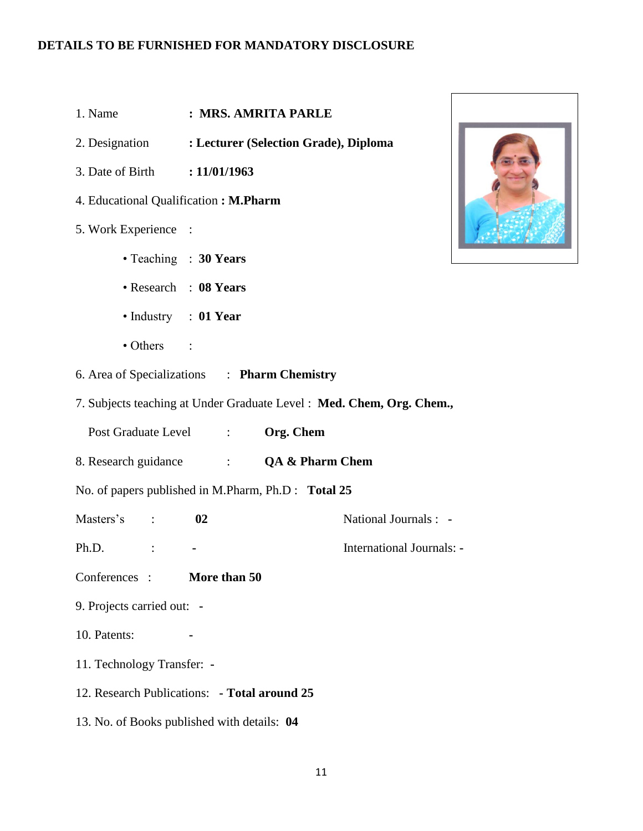- 1. Name **: MRS. AMRITA PARLE**
- 2. Designation **: Lecturer (Selection Grade), Diploma**
- 3. Date of Birth **: 11/01/1963**
- 4. Educational Qualification **: M.Pharm**
- 5. Work Experience :
	- Teaching : **30 Years**
	- Research : **08 Years**
	- Industry : **01 Year**
	- Others :
- 6. Area of Specializations : **Pharm Chemistry**
- 7. Subjects teaching at Under Graduate Level : **Med. Chem, Org. Chem.,**
	- Post Graduate Level : **Org. Chem**
- 8. Research guidance : **QA & Pharm Chem**
- No. of papers published in M.Pharm, Ph.D : **Total 25**
- Masters's : **02** National Journals : **-**
- Ph.D. : **-** International Journals: **-**
- Conferences : **More than 50**
- 9. Projects carried out: **-**
- 10. Patents:
- 11. Technology Transfer: **-**
- 12. Research Publications: **- Total around 25**
- 13. No. of Books published with details: **04**

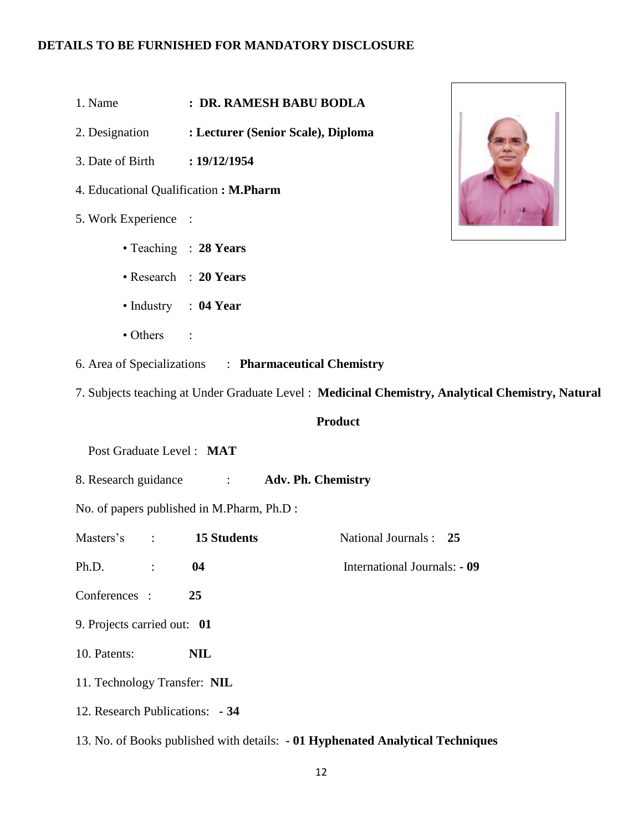- 1. Name **: DR. RAMESH BABU BODLA**
- 2. Designation **: Lecturer (Senior Scale), Diploma**
- 3. Date of Birth **: 19/12/1954**
- 4. Educational Qualification **: M.Pharm**
- 5. Work Experience :
	- Teaching : **28 Years**
	- Research : **20 Years**
	- Industry : **04 Year**
	- Others :
- 6. Area of Specializations : **Pharmaceutical Chemistry**
- 7. Subjects teaching at Under Graduate Level : **Medicinal Chemistry, Analytical Chemistry, Natural**

#### **Product**

Post Graduate Level : **MAT**

8. Research guidance : **Adv. Ph. Chemistry**

- Masters's : **15 Students** National Journals : **25**
- Ph.D. : **04** International Journals: **- 09**
- Conferences : **25**
- 9. Projects carried out: **01**
- 10. Patents: **NIL**
- 11. Technology Transfer: **NIL**
- 12. Research Publications: **- 34**
- 13. No. of Books published with details: **- 01 Hyphenated Analytical Techniques**

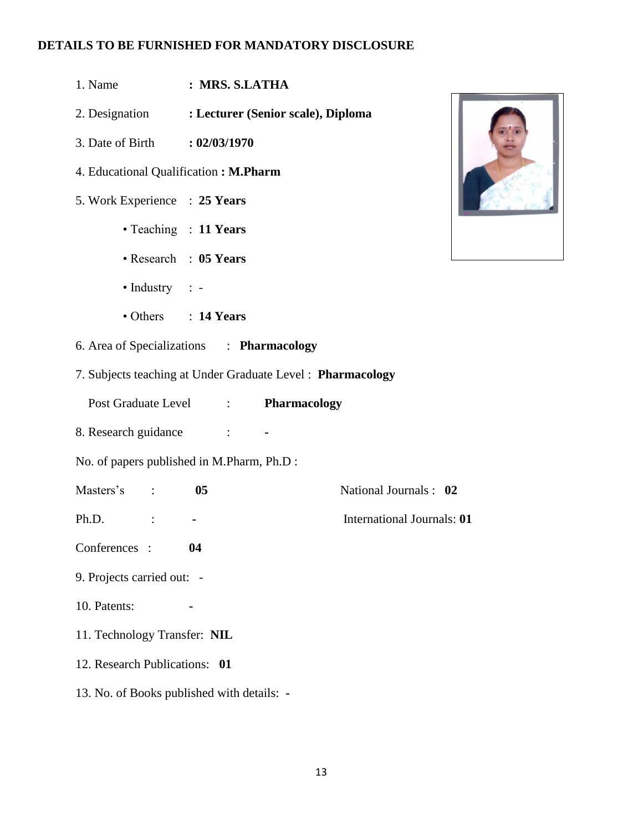- 1. Name **: MRS. S.LATHA**
- 2. Designation **: Lecturer (Senior scale), Diploma**
- 3. Date of Birth **: 02/03/1970**
- 4. Educational Qualification **: M.Pharm**
- 5. Work Experience : **25 Years**
	- Teaching : **11 Years**
	- Research : **05 Years**
	- Industry : -
	- Others : **14 Years**
- 6. Area of Specializations : **Pharmacology**
- 7. Subjects teaching at Under Graduate Level : **Pharmacology**
	- Post Graduate Level : **Pharmacology**
- 8. Research guidance : **-**
- No. of papers published in M.Pharm, Ph.D :
- Masters's : **05** National Journals : **02**
- Ph.D. : **-** International Journals: **01**
- Conferences : **04**
- 9. Projects carried out: -
- 10. Patents:
- 11. Technology Transfer: **NIL**
- 12. Research Publications: **01**
- 13. No. of Books published with details: **-**

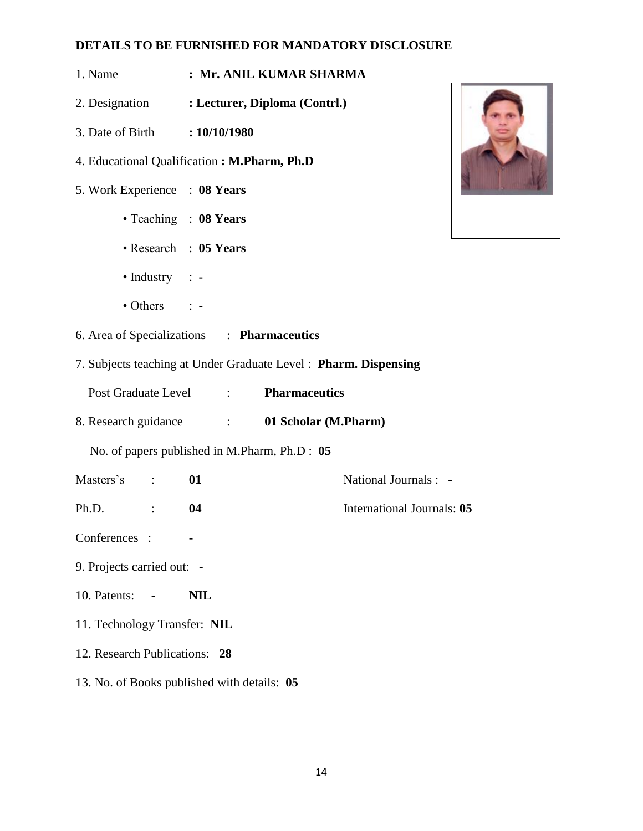- 1. Name **: Mr. ANIL KUMAR SHARMA**
- 2. Designation **: Lecturer, Diploma (Contrl.)**
- 3. Date of Birth **: 10/10/1980**
- 4. Educational Qualification **: M.Pharm, Ph.D**
- 5. Work Experience : **08 Years**
	- Teaching : **08 Years**
	- Research : **05 Years**
	- Industry : **-**
	- Others : **-**
- 6. Area of Specializations : **Pharmaceutics**
- 7. Subjects teaching at Under Graduate Level : **Pharm. Dispensing** 
	- Post Graduate Level : **Pharmaceutics**
- 8. Research guidance : **01 Scholar (M.Pharm)**

- Masters's : **01** National Journals : **-**
- Ph.D. : **04** International Journals: **05**
- Conferences : **-**
- 9. Projects carried out: **-**
- 10. Patents: - **NIL**
- 11. Technology Transfer: **NIL**
- 12. Research Publications: **28**
- 13. No. of Books published with details: **05**

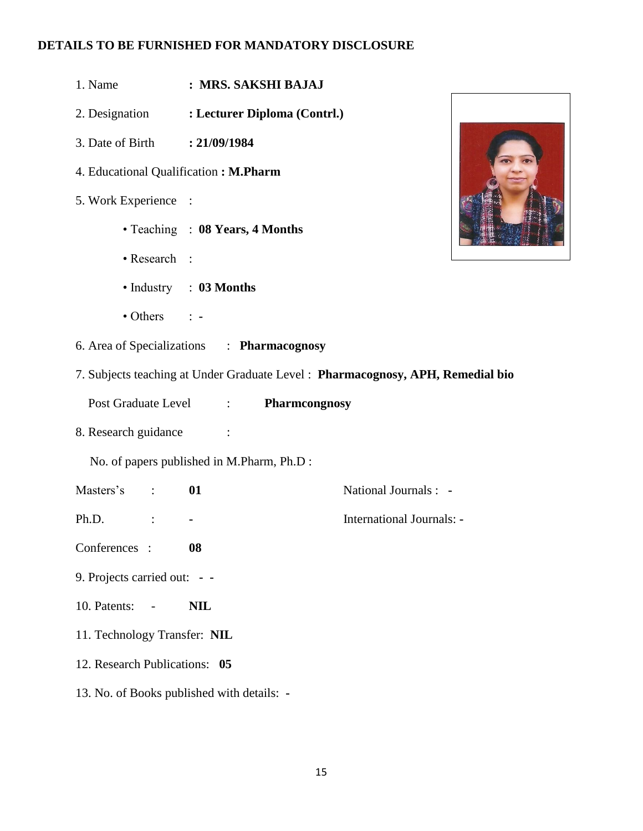- 1. Name **: MRS. SAKSHI BAJAJ**
- 2. Designation **: Lecturer Diploma (Contrl.)**
- 3. Date of Birth **: 21/09/1984**
- 4. Educational Qualification **: M.Pharm**
- 5. Work Experience :
	- Teaching : **08 Years, 4 Months**
	- Research :
	- Industry : **03 Months**
	- Others : **-**
- 6. Area of Specializations : **Pharmacognosy**
- 7. Subjects teaching at Under Graduate Level : **Pharmacognosy, APH, Remedial bio** 
	- Post Graduate Level : **Pharmcongnosy**
- 8. Research guidance :
	- No. of papers published in M.Pharm, Ph.D :
- Masters's : **01** National Journals : **-**
- Ph.D. : **-** International Journals: **-**
- Conferences : **08**
- 9. Projects carried out:  **-**
- 10. Patents: - **NIL**
- 11. Technology Transfer: **NIL**
- 12. Research Publications: **05**
- 13. No. of Books published with details: **-**

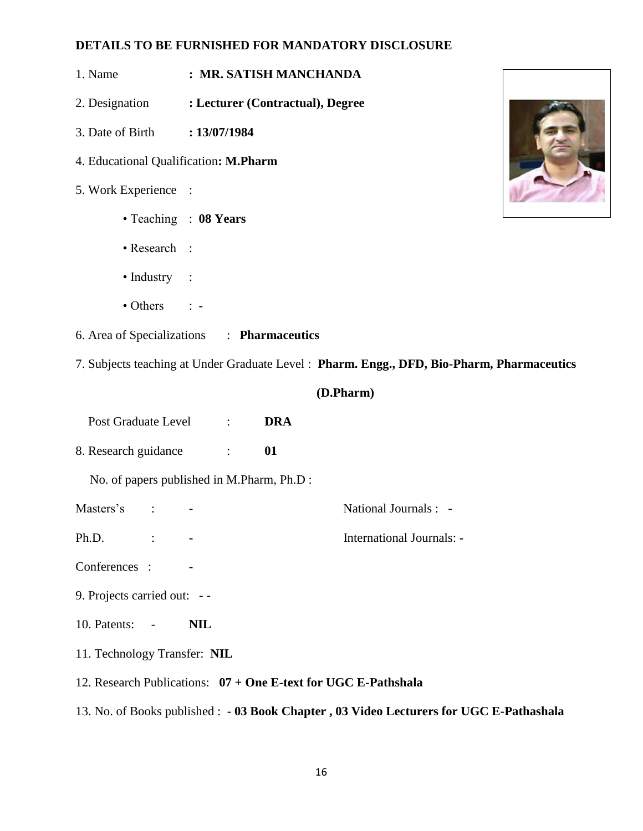- 1. Name **: MR. SATISH MANCHANDA**
- 2. Designation **: Lecturer (Contractual), Degree**
- 3. Date of Birth **: 13/07/1984**
- 4. Educational Qualification**: M.Pharm**
- 5. Work Experience :
	- Teaching : **08 Years**
	- Research :
	- Industry :
	- Others : **-**
- 6. Area of Specializations : **Pharmaceutics**
- 7. Subjects teaching at Under Graduate Level : **Pharm. Engg., DFD, Bio-Pharm, Pharmaceutics**

#### **(D.Pharm)**

- Post Graduate Level : **DRA**
- 8. Research guidance : **01**

- Masters's : **-** National Journals : **-**
- Ph.D. : **-** International Journals: **-**
- Conferences : **-**
- 9. Projects carried out: **- -**
- 10. Patents: - **NIL**
- 11. Technology Transfer: **NIL**
- 12. Research Publications: **07 + One E-text for UGC E-Pathshala**
- 13. No. of Books published : **- 03 Book Chapter , 03 Video Lecturers for UGC E-Pathashala**

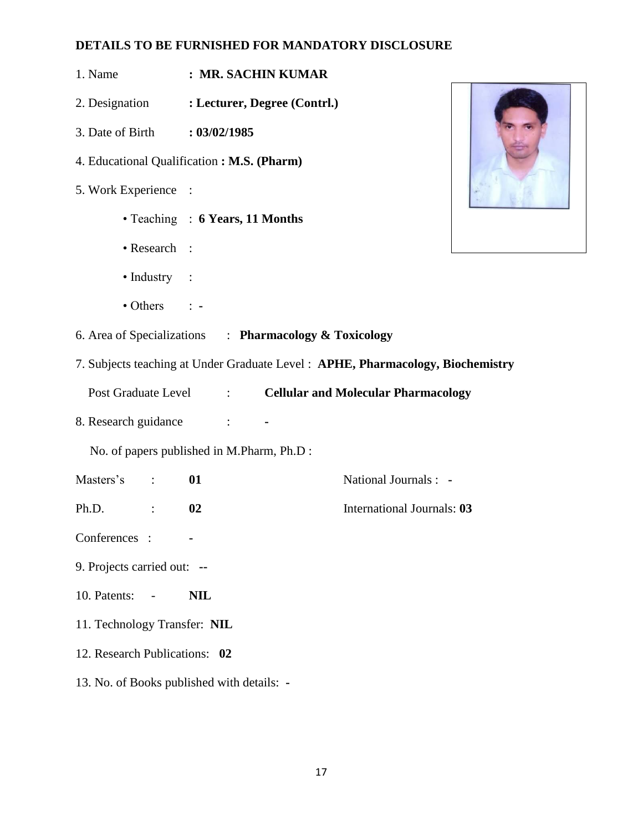- 1. Name **: MR. SACHIN KUMAR**
- 2. Designation **: Lecturer, Degree (Contrl.)**
- 3. Date of Birth **: 03/02/1985**
- 4. Educational Qualification **: M.S. (Pharm)**
- 5. Work Experience :
	- Teaching : **6 Years, 11 Months**
	- Research :
	- Industry :
	- Others : **-**

- 6. Area of Specializations : **Pharmacology & Toxicology**
- 7. Subjects teaching at Under Graduate Level : **APHE, Pharmacology, Biochemistry**

Post Graduate Level : **Cellular and Molecular Pharmacology** 

8. Research guidance : **-**

- Masters's : **01** National Journals : **-**
- Ph.D. : **02** International Journals: **03**
- Conferences : **-**
- 9. Projects carried out: **--**
- 10. Patents: - **NIL**
- 11. Technology Transfer: **NIL**
- 12. Research Publications: **02**
- 13. No. of Books published with details: **-**